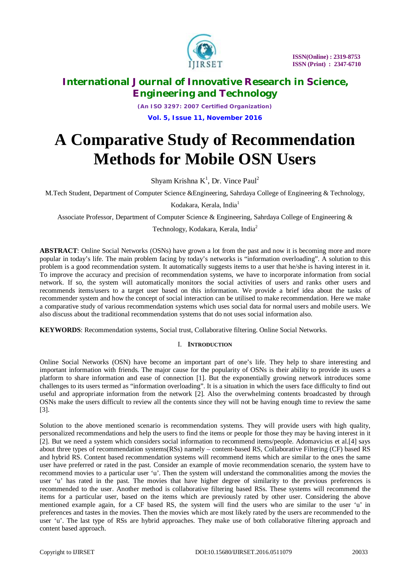

*(An ISO 3297: 2007 Certified Organization)* **Vol. 5, Issue 11, November 2016**

# **A Comparative Study of Recommendation Methods for Mobile OSN Users**

Shyam Krishna  $K^1$ , Dr. Vince Paul<sup>2</sup>

M.Tech Student, Department of Computer Science &Engineering, Sahrdaya College of Engineering & Technology,

Kodakara, Kerala, India<sup>1</sup>

Associate Professor, Department of Computer Science & Engineering, Sahrdaya College of Engineering &

Technology, Kodakara, Kerala, India<sup>2</sup>

**ABSTRACT**: Online Social Networks (OSNs) have grown a lot from the past and now it is becoming more and more popular in today's life. The main problem facing by today's networks is "information overloading". A solution to this problem is a good recommendation system. It automatically suggests items to a user that he/she is having interest in it. To improve the accuracy and precision of recommendation systems, we have to incorporate information from social network. If so, the system will automatically monitors the social activities of users and ranks other users and recommends items/users to a target user based on this information. We provide a brief idea about the tasks of recommender system and how the concept of social interaction can be utilised to make recommendation. Here we make a comparative study of various recommendation systems which uses social data for normal users and mobile users. We also discuss about the traditional recommendation systems that do not uses social information also.

**KEYWORDS**: Recommendation systems, Social trust, Collaborative filtering. Online Social Networks.

## I. **INTRODUCTION**

Online Social Networks (OSN) have become an important part of one's life. They help to share interesting and important information with friends. The major cause for the popularity of OSNs is their ability to provide its users a platform to share information and ease of connection [1]. But the exponentially growing network introduces some challenges to its users termed as "information overloading". It is a situation in which the users face difficulty to find out useful and appropriate information from the network [2]. Also the overwhelming contents broadcasted by through OSNs make the users difficult to review all the contents since they will not be having enough time to review the same [3].

Solution to the above mentioned scenario is recommendation systems. They will provide users with high quality, personalized recommendations and help the users to find the items or people for those they may be having interest in it [2]. But we need a system which considers social information to recommend items/people. Adomavicius et al.[4] says about three types of recommendation systems(RSs) namely – content-based RS, Collaborative Filtering (CF) based RS and hybrid RS. Content based recommendation systems will recommend items which are similar to the ones the same user have preferred or rated in the past. Consider an example of movie recommendation scenario, the system have to recommend movies to a particular user 'u'. Then the system will understand the commonalities among the movies the user 'u' has rated in the past. The movies that have higher degree of similarity to the previous preferences is recommended to the user. Another method is collaborative filtering based RSs. These systems will recommend the items for a particular user, based on the items which are previously rated by other user. Considering the above mentioned example again, for a CF based RS, the system will find the users who are similar to the user 'u' in preferences and tastes in the movies. Then the movies which are most likely rated by the users are recommended to the user 'u'. The last type of RSs are hybrid approaches. They make use of both collaborative filtering approach and content based approach.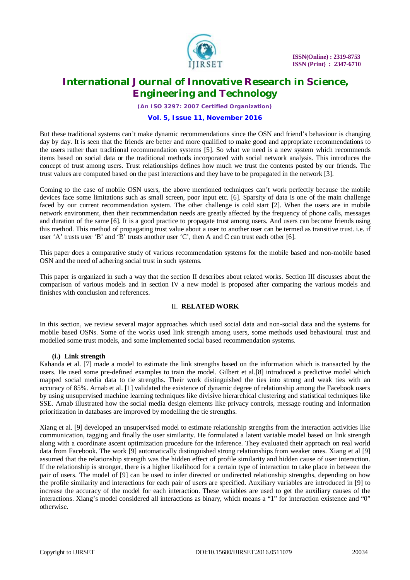

*(An ISO 3297: 2007 Certified Organization)*

### **Vol. 5, Issue 11, November 2016**

But these traditional systems can't make dynamic recommendations since the OSN and friend's behaviour is changing day by day. It is seen that the friends are better and more qualified to make good and appropriate recommendations to the users rather than traditional recommendation systems [5]. So what we need is a new system which recommends items based on social data or the traditional methods incorporated with social network analysis. This introduces the concept of trust among users. Trust relationships defines how much we trust the contents posted by our friends. The trust values are computed based on the past interactions and they have to be propagated in the network [3].

Coming to the case of mobile OSN users, the above mentioned techniques can't work perfectly because the mobile devices face some limitations such as small screen, poor input etc. [6]. Sparsity of data is one of the main challenge faced by our current recommendation system. The other challenge is cold start [2]. When the users are in mobile network environment, then their recommendation needs are greatly affected by the frequency of phone calls, messages and duration of the same [6]. It is a good practice to propagate trust among users. And users can become friends using this method. This method of propagating trust value about a user to another user can be termed as transitive trust. i.e. if user 'A' trusts user 'B' and 'B' trusts another user 'C', then A and C can trust each other [6].

This paper does a comparative study of various recommendation systems for the mobile based and non-mobile based OSN and the need of adhering social trust in such systems.

This paper is organized in such a way that the section II describes about related works. Section III discusses about the comparison of various models and in section IV a new model is proposed after comparing the various models and finishes with conclusion and references.

### II. **RELATED WORK**

In this section, we review several major approaches which used social data and non-social data and the systems for mobile based OSNs. Some of the works used link strength among users, some methods used behavioural trust and modelled some trust models, and some implemented social based recommendation systems.

#### **(i.) Link strength**

Kahanda et al. [7] made a model to estimate the link strengths based on the information which is transacted by the users. He used some pre-defined examples to train the model. Gilbert et al.[8] introduced a predictive model which mapped social media data to tie strengths. Their work distinguished the ties into strong and weak ties with an accuracy of 85%. Arnab et al. [1] validated the existence of dynamic degree of relationship among the Facebook users by using unsupervised machine learning techniques like divisive hierarchical clustering and statistical techniques like SSE. Arnab illustrated how the social media design elements like privacy controls, message routing and information prioritization in databases are improved by modelling the tie strengths.

Xiang et al. [9] developed an unsupervised model to estimate relationship strengths from the interaction activities like communication, tagging and finally the user similarity. He formulated a latent variable model based on link strength along with a coordinate ascent optimization procedure for the inference. They evaluated their approach on real world data from Facebook. The work [9] automatically distinguished strong relationships from weaker ones. Xiang et al [9] assumed that the relationship strength was the hidden effect of profile similarity and hidden cause of user interaction. If the relationship is stronger, there is a higher likelihood for a certain type of interaction to take place in between the pair of users. The model of [9] can be used to infer directed or undirected relationship strengths, depending on how the profile similarity and interactions for each pair of users are specified. Auxiliary variables are introduced in [9] to increase the accuracy of the model for each interaction. These variables are used to get the auxiliary causes of the interactions. Xiang's model considered all interactions as binary, which means a "1" for interaction existence and "0" otherwise.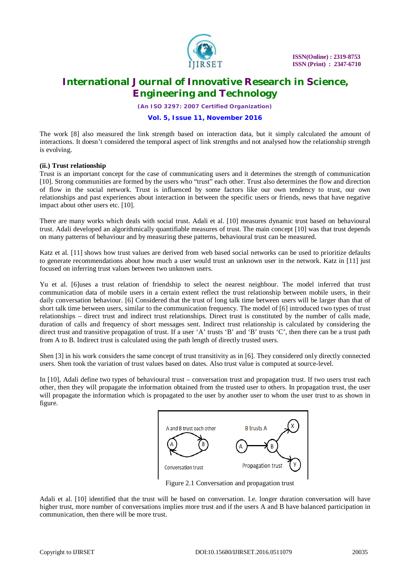

*(An ISO 3297: 2007 Certified Organization)*

### **Vol. 5, Issue 11, November 2016**

The work [8] also measured the link strength based on interaction data, but it simply calculated the amount of interactions. It doesn't considered the temporal aspect of link strengths and not analysed how the relationship strength is evolving.

### **(ii.) Trust relationship**

Trust is an important concept for the case of communicating users and it determines the strength of communication [10]. Strong communities are formed by the users who "trust" each other. Trust also determines the flow and direction of flow in the social network. Trust is influenced by some factors like our own tendency to trust, our own relationships and past experiences about interaction in between the specific users or friends, news that have negative impact about other users etc. [10].

There are many works which deals with social trust. Adali et al. [10] measures dynamic trust based on behavioural trust. Adali developed an algorithmically quantifiable measures of trust. The main concept [10] was that trust depends on many patterns of behaviour and by measuring these patterns, behavioural trust can be measured.

Katz et al. [11] shows how trust values are derived from web based social networks can be used to prioritize defaults to generate recommendations about how much a user would trust an unknown user in the network. Katz in [11] just focused on inferring trust values between two unknown users.

Yu et al. [6]uses a trust relation of friendship to select the nearest neighbour. The model inferred that trust communication data of mobile users in a certain extent reflect the trust relationship between mobile users, in their daily conversation behaviour. [6] Considered that the trust of long talk time between users will be larger than that of short talk time between users, similar to the communication frequency. The model of [6] introduced two types of trust relationships – direct trust and indirect trust relationships. Direct trust is constituted by the number of calls made, duration of calls and frequency of short messages sent. Indirect trust relationship is calculated by considering the direct trust and transitive propagation of trust. If a user 'A' trusts 'B' and 'B' trusts 'C', then there can be a trust path from A to B. Indirect trust is calculated using the path length of directly trusted users.

Shen [3] in his work considers the same concept of trust transitivity as in [6]. They considered only directly connected users. Shen took the variation of trust values based on dates. Also trust value is computed at source-level.

In [10], Adali define two types of behavioural trust – conversation trust and propagation trust. If two users trust each other, then they will propagate the information obtained from the trusted user to others. In propagation trust, the user will propagate the information which is propagated to the user by another user to whom the user trust to as shown in figure.



Figure 2.1 Conversation and propagation trust

Adali et al. [10] identified that the trust will be based on conversation. I.e. longer duration conversation will have higher trust, more number of conversations implies more trust and if the users A and B have balanced participation in communication, then there will be more trust.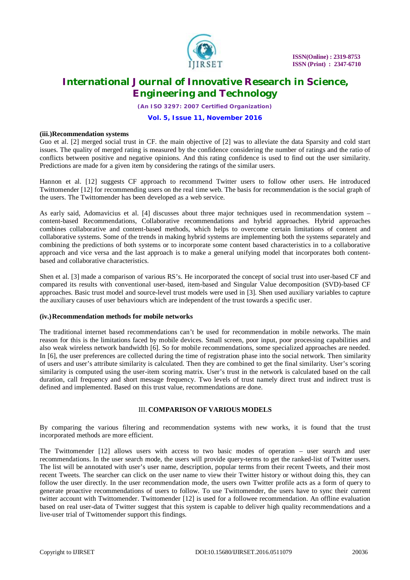

*(An ISO 3297: 2007 Certified Organization)*

#### **Vol. 5, Issue 11, November 2016**

#### **(iii.)Recommendation systems**

Guo et al. [2] merged social trust in CF. the main objective of [2] was to alleviate the data Sparsity and cold start issues. The quality of merged rating is measured by the confidence considering the number of ratings and the ratio of conflicts between positive and negative opinions. And this rating confidence is used to find out the user similarity. Predictions are made for a given item by considering the ratings of the similar users.

Hannon et al. [12] suggests CF approach to recommend Twitter users to follow other users. He introduced Twittomender [12] for recommending users on the real time web. The basis for recommendation is the social graph of the users. The Twittomender has been developed as a web service.

As early said, Adomavicius et al. [4] discusses about three major techniques used in recommendation system – content-based Recommendations, Collaborative recommendations and hybrid approaches. Hybrid approaches combines collaborative and content-based methods, which helps to overcome certain limitations of content and collaborative systems. Some of the trends in making hybrid systems are implementing both the systems separately and combining the predictions of both systems or to incorporate some content based characteristics in to a collaborative approach and vice versa and the last approach is to make a general unifying model that incorporates both contentbased and collaborative characteristics.

Shen et al. [3] made a comparison of various RS's. He incorporated the concept of social trust into user-based CF and compared its results with conventional user-based, item-based and Singular Value decomposition (SVD)-based CF approaches. Basic trust model and source-level trust models were used in [3]. Shen used auxiliary variables to capture the auxiliary causes of user behaviours which are independent of the trust towards a specific user.

#### **(iv.)Recommendation methods for mobile networks**

The traditional internet based recommendations can't be used for recommendation in mobile networks. The main reason for this is the limitations faced by mobile devices. Small screen, poor input, poor processing capabilities and also weak wireless network bandwidth [6]. So for mobile recommendations, some specialized approaches are needed. In [6], the user preferences are collected during the time of registration phase into the social network. Then similarity of users and user's attribute similarity is calculated. Then they are combined to get the final similarity. User's scoring similarity is computed using the user-item scoring matrix. User's trust in the network is calculated based on the call duration, call frequency and short message frequency. Two levels of trust namely direct trust and indirect trust is defined and implemented. Based on this trust value, recommendations are done.

### III. **COMPARISON OF VARIOUS MODELS**

By comparing the various filtering and recommendation systems with new works, it is found that the trust incorporated methods are more efficient.

The Twittomender [12] allows users with access to two basic modes of operation – user search and user recommendations. In the user search mode, the users will provide query-terms to get the ranked-list of Twitter users. The list will be annotated with user's user name, description, popular terms from their recent Tweets, and their most recent Tweets. The searcher can click on the user name to view their Twitter history or without doing this, they can follow the user directly. In the user recommendation mode, the users own Twitter profile acts as a form of query to generate proactive recommendations of users to follow. To use Twittomender, the users have to sync their current twitter account with Twittomender. Twittomender [12] is used for a followee recommendation. An offline evaluation based on real user-data of Twitter suggest that this system is capable to deliver high quality recommendations and a live-user trial of Twittomender support this findings.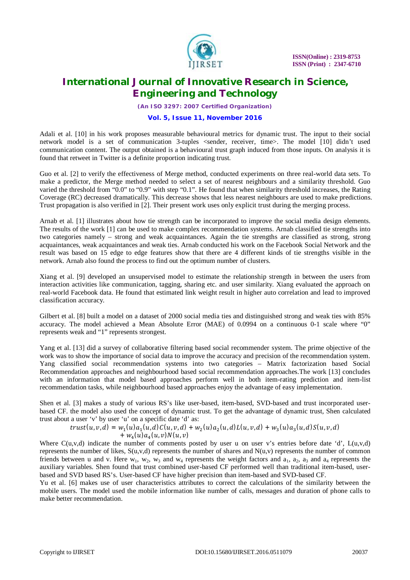

*(An ISO 3297: 2007 Certified Organization)*

### **Vol. 5, Issue 11, November 2016**

Adali et al. [10] in his work proposes measurable behavioural metrics for dynamic trust. The input to their social network model is a set of communication 3-tuples <sender, receiver, time>. The model [10] didn't used communication content. The output obtained is a behavioural trust graph induced from those inputs. On analysis it is found that retweet in Twitter is a definite proportion indicating trust.

Guo et al. [2] to verify the effectiveness of Merge method, conducted experiments on three real-world data sets. To make a predictor, the Merge method needed to select a set of nearest neighbours and a similarity threshold. Guo varied the threshold from "0.0" to "0.9" with step "0.1". He found that when similarity threshold increases, the Rating Coverage (RC) decreased dramatically. This decrease shows that less nearest neighbours are used to make predictions. Trust propagation is also verified in [2]. Their present work uses only explicit trust during the merging process.

Arnab et al. [1] illustrates about how tie strength can be incorporated to improve the social media design elements. The results of the work [1] can be used to make complex recommendation systems. Arnab classified tie strengths into two categories namely – strong and weak acquaintances. Again the tie strengths are classified as strong, strong acquaintances, weak acquaintances and weak ties. Arnab conducted his work on the Facebook Social Network and the result was based on 15 edge to edge features show that there are 4 different kinds of tie strengths visible in the network. Arnab also found the process to find out the optimum number of clusters.

Xiang et al. [9] developed an unsupervised model to estimate the relationship strength in between the users from interaction activities like communication, tagging, sharing etc. and user similarity. Xiang evaluated the approach on real-world Facebook data. He found that estimated link weight result in higher auto correlation and lead to improved classification accuracy.

Gilbert et al. [8] built a model on a dataset of 2000 social media ties and distinguished strong and weak ties with 85% accuracy. The model achieved a Mean Absolute Error (MAE) of 0.0994 on a continuous 0-1 scale where "0" represents weak and "1" represents strongest.

Yang et al. [13] did a survey of collaborative filtering based social recommender system. The prime objective of the work was to show the importance of social data to improve the accuracy and precision of the recommendation system. Yang classified social recommendation systems into two categories – Matrix factorization based Social Recommendation approaches and neighbourhood based social recommendation approaches.The work [13] concludes with an information that model based approaches perform well in both item-rating prediction and item-list recommendation tasks, while neighbourhood based approaches enjoy the advantage of easy implementation.

Shen et al. [3] makes a study of various RS's like user-based, item-based, SVD-based and trust incorporated userbased CF. the model also used the concept of dynamic trust. To get the advantage of dynamic trust, Shen calculated trust about a user 'v' by user 'u' on a specific date 'd' as:

$$
trust(u, v, d) = w_1(u)a_1(u, d)C(u, v, d) + w_2(u)a_2(u, d)L(u, v, d) + w_3(u)a_3(u, d)S(u, v, d) + w_4(u)a_4(u, v)N(u, v)
$$

Where  $C(u,v,d)$  indicate the number of comments posted by user u on user v's entries before date 'd',  $L(u,v,d)$ represents the number of likes,  $S(u, v, d)$  represents the number of shares and  $N(u, v)$  represents the number of common friends between u and v. Here  $w_1$ ,  $w_2$ ,  $w_3$  and  $w_4$  represents the weight factors and  $a_1$ ,  $a_2$ ,  $a_3$  and  $a_4$  represents the auxiliary variables. Shen found that trust combined user-based CF performed well than traditional item-based, userbased and SVD based RS's. User-based CF have higher precision than item-based and SVD-based CF.

Yu et al. [6] makes use of user characteristics attributes to correct the calculations of the similarity between the mobile users. The model used the mobile information like number of calls, messages and duration of phone calls to make better recommendation.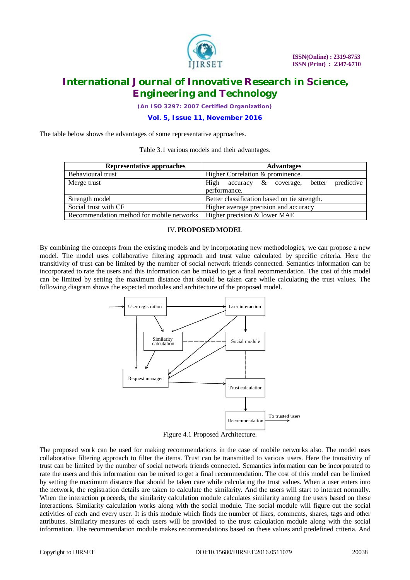

*(An ISO 3297: 2007 Certified Organization)*

**Vol. 5, Issue 11, November 2016**

The table below shows the advantages of some representative approaches.

Table 3.1 various models and their advantages.

| Representative approaches                 | <b>Advantages</b>                                    |
|-------------------------------------------|------------------------------------------------------|
| Behavioural trust                         | Higher Correlation & prominence.                     |
| Merge trust                               | High<br>predictive<br>accuracy & coverage,<br>better |
|                                           | performance.                                         |
| Strength model                            | Better classification based on tie strength.         |
| Social trust with CF                      | Higher average precision and accuracy                |
| Recommendation method for mobile networks | Higher precision & lower MAE                         |

### IV.**PROPOSED MODEL**

By combining the concepts from the existing models and by incorporating new methodologies, we can propose a new model. The model uses collaborative filtering approach and trust value calculated by specific criteria. Here the transitivity of trust can be limited by the number of social network friends connected. Semantics information can be incorporated to rate the users and this information can be mixed to get a final recommendation. The cost of this model can be limited by setting the maximum distance that should be taken care while calculating the trust values. The following diagram shows the expected modules and architecture of the proposed model.



Figure 4.1 Proposed Architecture.

The proposed work can be used for making recommendations in the case of mobile networks also. The model uses collaborative filtering approach to filter the items. Trust can be transmitted to various users. Here the transitivity of trust can be limited by the number of social network friends connected. Semantics information can be incorporated to rate the users and this information can be mixed to get a final recommendation. The cost of this model can be limited by setting the maximum distance that should be taken care while calculating the trust values. When a user enters into the network, the registration details are taken to calculate the similarity. And the users will start to interact normally. When the interaction proceeds, the similarity calculation module calculates similarity among the users based on these interactions. Similarity calculation works along with the social module. The social module will figure out the social activities of each and every user. It is this module which finds the number of likes, comments, shares, tags and other attributes. Similarity measures of each users will be provided to the trust calculation module along with the social information. The recommendation module makes recommendations based on these values and predefined criteria. And